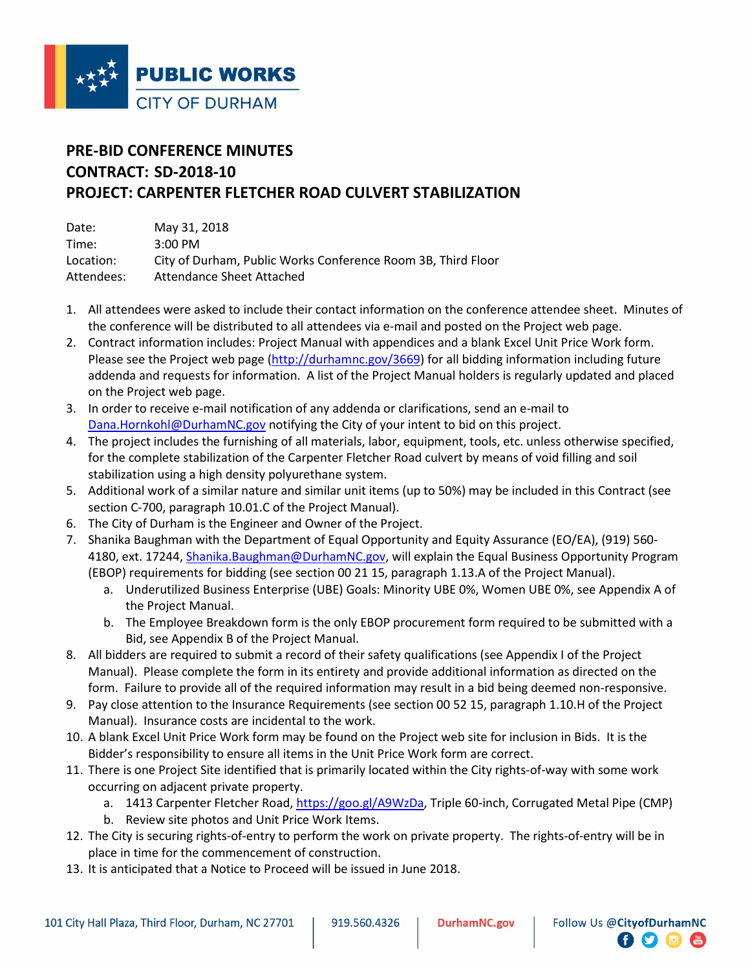

## **PRE-BID CONFERENCE MINUTES CONTRACT: SD-2018-10 PROJECT: CARPENTER FLETCHER ROAD CULVERT STABILIZATION**

| Date:      | May 31, 2018                                                 |
|------------|--------------------------------------------------------------|
| Time:      | $3:00 \text{ PM}$                                            |
| Location:  | City of Durham, Public Works Conference Room 3B, Third Floor |
| Attendees: | Attendance Sheet Attached                                    |

- 1. All attendees were asked to include their contact information on the conference attendee sheet. Minutes of the conference will be distributed to all attendees via e-mail and posted on the Project web page.
- 2. Contract information includes: Project Manual with appendices and a blank Excel Unit Price Work form. Please see the Project web page (http://durhamnc.gov/3669) for all bidding information including future addenda and requests for information. A list of the Project Manual holders is regularly updated and placed on the Project web page.
- 3. In order to receive e-mail notification of any addenda or clarifications, send an e-mail to Dana.Hornkohl@DurhamNC.gov notifying the City of your intent to bid on this project.
- 4. The project includes the furnishing of all materials, labor, equipment, tools, etc. unless otherwise specified, for the complete stabilization of the Carpenter Fletcher Road culvert by means of void filling and soil stabilization using a high density polyurethane system.
- 5. Additional work of a similar nature and similar unit items (up to 50%) may be included in this Contract (see section C-700, paragraph 10.01.C of the Project Manual).
- 6. The City of Durham is the Engineer and Owner of the Project.
- 7. Shanika Baughman with the Department of Equal Opportunity and Equity Assurance (EO/EA), (919) 560- 4180, ext. 17244, Shanika.Baughman@DurhamNC.gov, will explain the Equal Business Opportunity Program (EBOP) requirements for bidding (see section 00 21 15, paragraph 1.13.A of the Project Manual).
	- a. Underutilized Business Enterprise (UBE) Goals: Minority UBE 0%, Women UBE 0%, see Appendix A of the Project Manual.
	- b. The Employee Breakdown form is the only EBOP procurement form required to be submitted with a Bid, see Appendix B of the Project Manual.
- 8. All bidders are required to submit a record of their safety qualifications (see Appendix I of the Project Manual). Please complete the form in its entirety and provide additional information as directed on the form. Failure to provide all of the required information may result in a bid being deemed non-responsive.
- 9. Pay close attention to the Insurance Requirements (see section 00 52 15, paragraph 1.10.H of the Project Manual). Insurance costs are incidental to the work.
- 10. A blank Excel Unit Price Work form may be found on the Project web site for inclusion in Bids. It is the Bidder's responsibility to ensure all items in the Unit Price Work form are correct.
- 11. There is one Project Site identified that is primarily located within the City rights-of-way with some work occurring on adjacent private property.
	- a. 1413 Carpenter Fletcher Road, https://goo.gl/A9WzDa, Triple 60-inch, Corrugated Metal Pipe (CMP)

 $\bullet$   $\bullet$ 

- b. Review site photos and Unit Price Work Items.
- 12. The City is securing rights-of-entry to perform the work on private property. The rights-of-entry will be in place in time for the commencement of construction.
- 13. It is anticipated that a Notice to Proceed will be issued in June 2018.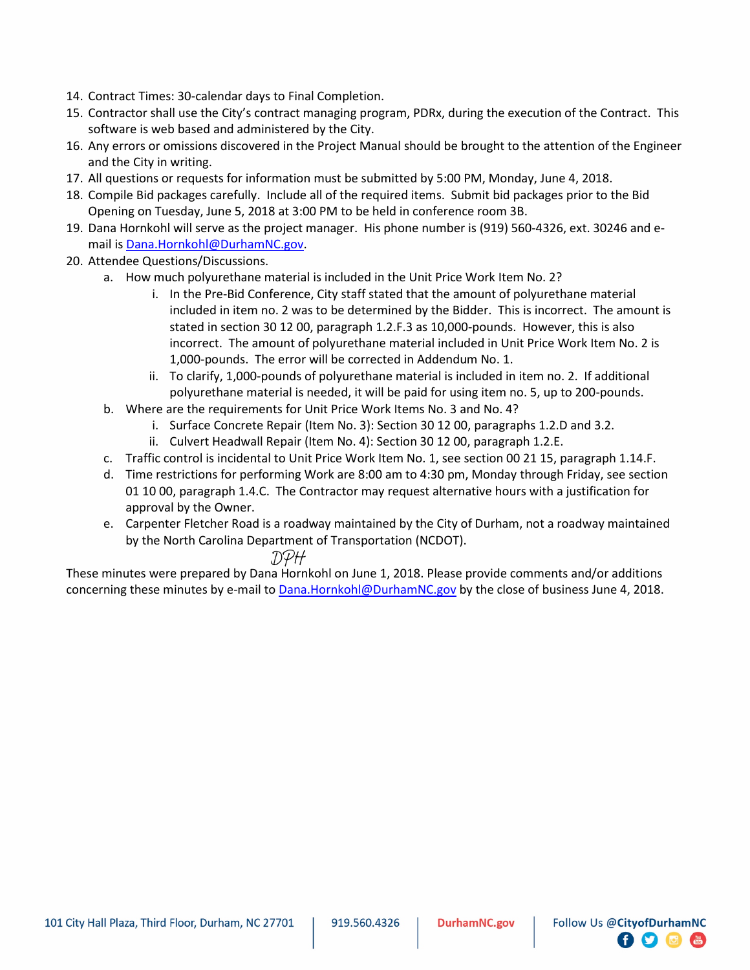- 14. Contract Times: 30-calendar days to Final Completion.
- 15. Contractor shall use the City's contract managing program, PDRx, during the execution of the Contract. This software is web based and administered by the City.
- 16. Any errors or omissions discovered in the Project Manual should be brought to the attention of the Engineer and the City in writing.
- 17. All questions or requests for information must be submitted by 5:00 PM, Monday, June 4, 2018.
- 18. Compile Bid packages carefully. Include all of the required items. Submit bid packages prior to the Bid Opening on Tuesday, June 5, 2018 at 3:00 PM to be held in conference room 3B.
- 19. Dana Hornkohl will serve as the project manager. His phone number is (919) 560-4326, ext. 30246 and email is Dana.Hornkohl@DurhamNC.gov.
- 20. Attendee Questions/Discussions.
	- a. How much polyurethane material is included in the Unit Price Work Item No. 2?
		- i. In the Pre-Bid Conference, City staff stated that the amount of polyurethane material included in item no. 2 was to be determined by the Bidder. This is incorrect. The amount is stated in section 30 12 00, paragraph 1.2.F.3 as 10,000-pounds. However, this is also incorrect. The amount of polyurethane material included in Unit Price Work Item No. 2 is 1,000-pounds. The error will be corrected in Addendum No. 1.
		- ii. To clarify, 1,000-pounds of polyurethane material is included in item no. 2. If additional polyurethane material is needed, it will be paid for using item no. 5, up to 200-pounds.
		- b. Where are the requirements for Unit Price Work Items No. 3 and No. 4?
			- i. Surface Concrete Repair (Item No. 3): Section 30 12 00, paragraphs 1.2.D and 3.2.
			- ii. Culvert Headwall Repair (Item No. 4): Section 30 12 00, paragraph 1.2.E.
		- c. Traffic control is incidental to Unit Price Work Item No. 1, see section 00 21 15, paragraph 1.14.F.
		- d. Time restrictions for performing Work are 8:00 am to 4:30 pm, Monday through Friday, see section 01 10 00, paragraph 1.4.C. The Contractor may request alternative hours with a justification for approval by the Owner.
		- e. Carpenter Fletcher Road is a roadway maintained by the City of Durham, not a roadway maintained by the North Carolina Department of Transportation (NCDOT).

## DPH

These minutes were prepared by Dana Hornkohl on June 1, 2018. Please provide comments and/or additions concerning these minutes by e-mail to Dana.Hornkohl@DurhamNC.gov by the close of business June 4, 2018.

**日り回信**